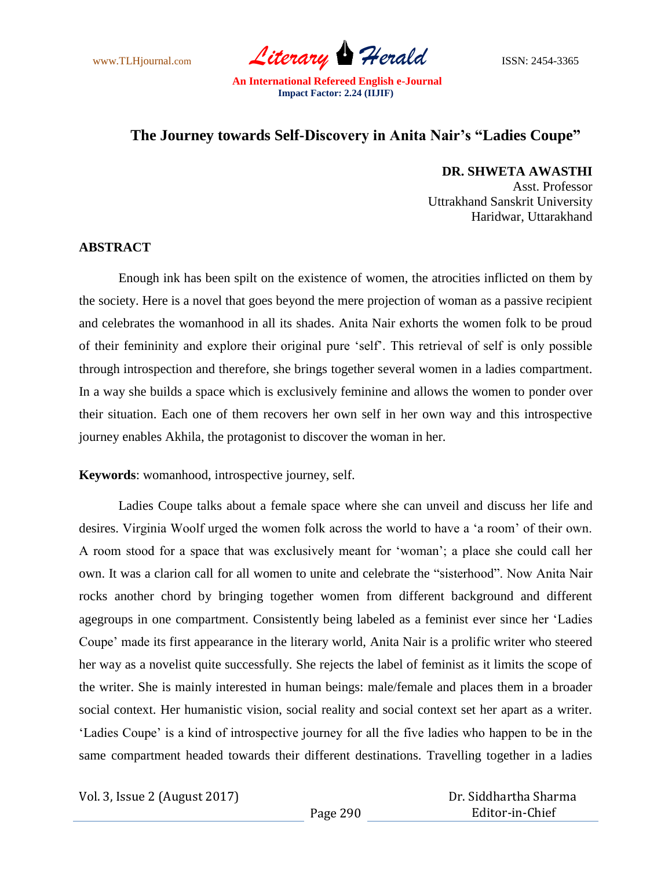www.TLHjournal.com *Literary Herald* ISSN: 2454-3365

## **The Journey towards Self-Discovery in Anita Nair's "Ladies Coupe"**

**DR. SHWETA AWASTHI** 

Asst. Professor Uttrakhand Sanskrit University Haridwar, Uttarakhand

## **ABSTRACT**

Enough ink has been spilt on the existence of women, the atrocities inflicted on them by the society. Here is a novel that goes beyond the mere projection of woman as a passive recipient and celebrates the womanhood in all its shades. Anita Nair exhorts the women folk to be proud of their femininity and explore their original pure "self". This retrieval of self is only possible through introspection and therefore, she brings together several women in a ladies compartment. In a way she builds a space which is exclusively feminine and allows the women to ponder over their situation. Each one of them recovers her own self in her own way and this introspective journey enables Akhila, the protagonist to discover the woman in her.

**Keywords**: womanhood, introspective journey, self.

Ladies Coupe talks about a female space where she can unveil and discuss her life and desires. Virginia Woolf urged the women folk across the world to have a "a room" of their own. A room stood for a space that was exclusively meant for "woman"; a place she could call her own. It was a clarion call for all women to unite and celebrate the "sisterhood". Now Anita Nair rocks another chord by bringing together women from different background and different agegroups in one compartment. Consistently being labeled as a feminist ever since her "Ladies Coupe" made its first appearance in the literary world, Anita Nair is a prolific writer who steered her way as a novelist quite successfully. She rejects the label of feminist as it limits the scope of the writer. She is mainly interested in human beings: male/female and places them in a broader social context. Her humanistic vision, social reality and social context set her apart as a writer. "Ladies Coupe" is a kind of introspective journey for all the five ladies who happen to be in the same compartment headed towards their different destinations. Travelling together in a ladies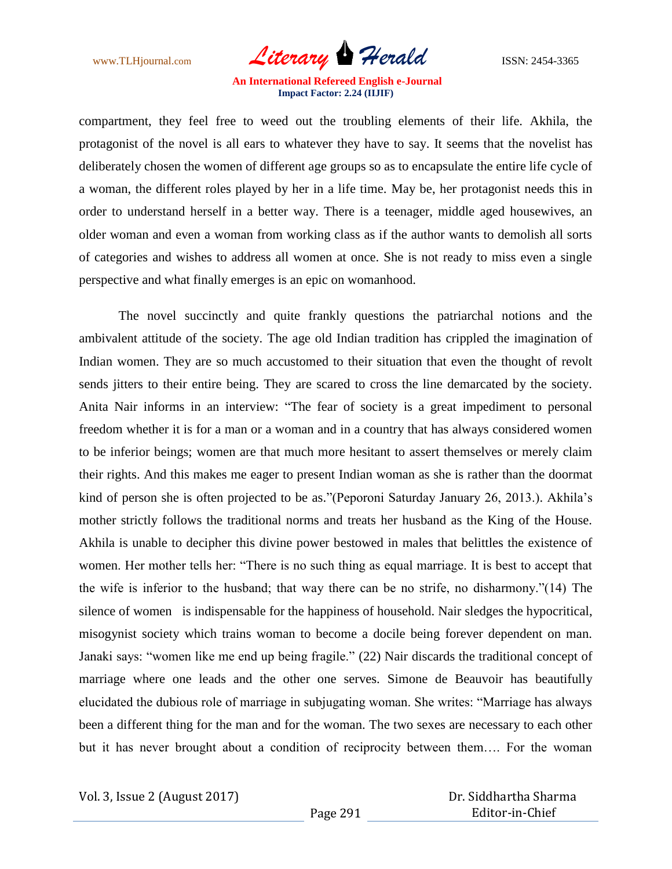www.TLHjournal.com *Literary Herald* ISSN: 2454-3365

compartment, they feel free to weed out the troubling elements of their life. Akhila, the protagonist of the novel is all ears to whatever they have to say. It seems that the novelist has deliberately chosen the women of different age groups so as to encapsulate the entire life cycle of a woman, the different roles played by her in a life time. May be, her protagonist needs this in order to understand herself in a better way. There is a teenager, middle aged housewives, an older woman and even a woman from working class as if the author wants to demolish all sorts of categories and wishes to address all women at once. She is not ready to miss even a single perspective and what finally emerges is an epic on womanhood.

The novel succinctly and quite frankly questions the patriarchal notions and the ambivalent attitude of the society. The age old Indian tradition has crippled the imagination of Indian women. They are so much accustomed to their situation that even the thought of revolt sends jitters to their entire being. They are scared to cross the line demarcated by the society. Anita Nair informs in an interview: "The fear of society is a great impediment to personal freedom whether it is for a man or a woman and in a country that has always considered women to be inferior beings; women are that much more hesitant to assert themselves or merely claim their rights. And this makes me eager to present Indian woman as she is rather than the doormat kind of person she is often projected to be as."(Peporoni Saturday January 26, 2013.). Akhila"s mother strictly follows the traditional norms and treats her husband as the King of the House. Akhila is unable to decipher this divine power bestowed in males that belittles the existence of women. Her mother tells her: "There is no such thing as equal marriage. It is best to accept that the wife is inferior to the husband; that way there can be no strife, no disharmony."(14) The silence of women is indispensable for the happiness of household. Nair sledges the hypocritical, misogynist society which trains woman to become a docile being forever dependent on man. Janaki says: "women like me end up being fragile." (22) Nair discards the traditional concept of marriage where one leads and the other one serves. Simone de Beauvoir has beautifully elucidated the dubious role of marriage in subjugating woman. She writes: "Marriage has always been a different thing for the man and for the woman. The two sexes are necessary to each other but it has never brought about a condition of reciprocity between them…. For the woman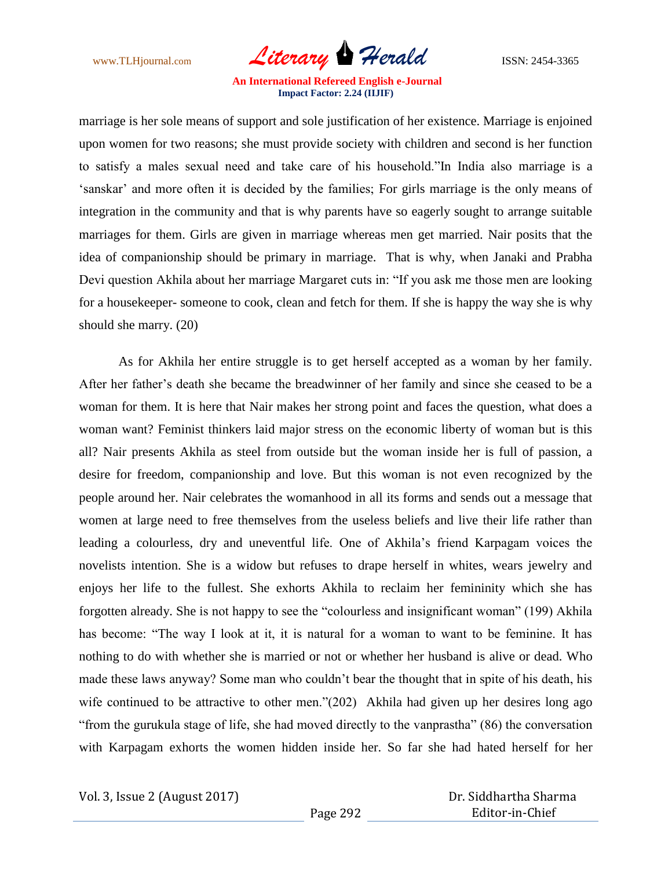www.TLHjournal.com *Literary Herald* ISSN: 2454-3365

marriage is her sole means of support and sole justification of her existence. Marriage is enjoined upon women for two reasons; she must provide society with children and second is her function to satisfy a males sexual need and take care of his household."In India also marriage is a 'sanskar' and more often it is decided by the families; For girls marriage is the only means of integration in the community and that is why parents have so eagerly sought to arrange suitable marriages for them. Girls are given in marriage whereas men get married. Nair posits that the idea of companionship should be primary in marriage. That is why, when Janaki and Prabha Devi question Akhila about her marriage Margaret cuts in: "If you ask me those men are looking for a housekeeper- someone to cook, clean and fetch for them. If she is happy the way she is why should she marry. (20)

As for Akhila her entire struggle is to get herself accepted as a woman by her family. After her father"s death she became the breadwinner of her family and since she ceased to be a woman for them. It is here that Nair makes her strong point and faces the question, what does a woman want? Feminist thinkers laid major stress on the economic liberty of woman but is this all? Nair presents Akhila as steel from outside but the woman inside her is full of passion, a desire for freedom, companionship and love. But this woman is not even recognized by the people around her. Nair celebrates the womanhood in all its forms and sends out a message that women at large need to free themselves from the useless beliefs and live their life rather than leading a colourless, dry and uneventful life. One of Akhila"s friend Karpagam voices the novelists intention. She is a widow but refuses to drape herself in whites, wears jewelry and enjoys her life to the fullest. She exhorts Akhila to reclaim her femininity which she has forgotten already. She is not happy to see the "colourless and insignificant woman" (199) Akhila has become: "The way I look at it, it is natural for a woman to want to be feminine. It has nothing to do with whether she is married or not or whether her husband is alive or dead. Who made these laws anyway? Some man who couldn"t bear the thought that in spite of his death, his wife continued to be attractive to other men."(202) Akhila had given up her desires long ago "from the gurukula stage of life, she had moved directly to the vanprastha" (86) the conversation with Karpagam exhorts the women hidden inside her. So far she had hated herself for her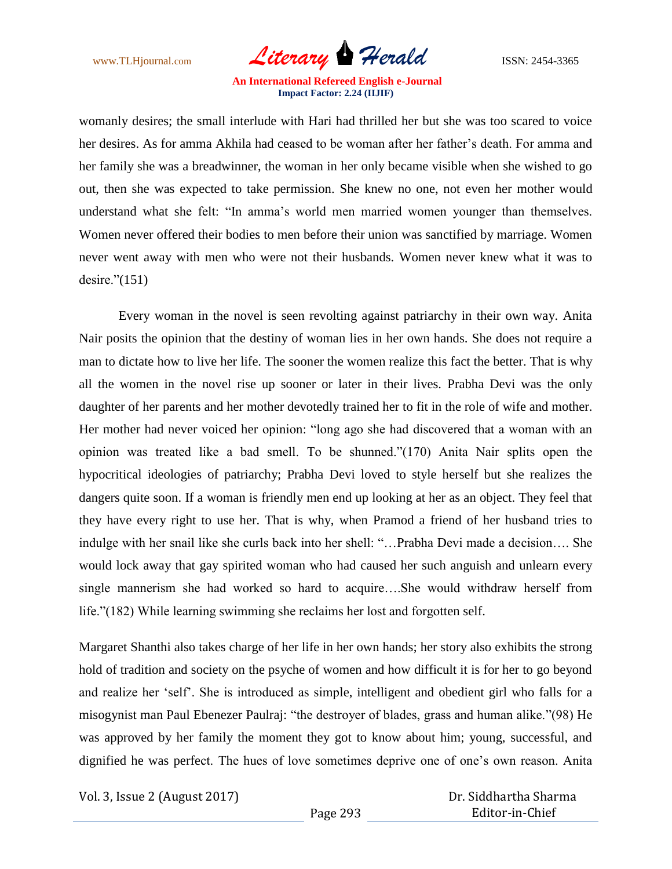

womanly desires; the small interlude with Hari had thrilled her but she was too scared to voice her desires. As for amma Akhila had ceased to be woman after her father"s death. For amma and her family she was a breadwinner, the woman in her only became visible when she wished to go out, then she was expected to take permission. She knew no one, not even her mother would understand what she felt: "In amma"s world men married women younger than themselves. Women never offered their bodies to men before their union was sanctified by marriage. Women never went away with men who were not their husbands. Women never knew what it was to desire."(151)

Every woman in the novel is seen revolting against patriarchy in their own way. Anita Nair posits the opinion that the destiny of woman lies in her own hands. She does not require a man to dictate how to live her life. The sooner the women realize this fact the better. That is why all the women in the novel rise up sooner or later in their lives. Prabha Devi was the only daughter of her parents and her mother devotedly trained her to fit in the role of wife and mother. Her mother had never voiced her opinion: "long ago she had discovered that a woman with an opinion was treated like a bad smell. To be shunned."(170) Anita Nair splits open the hypocritical ideologies of patriarchy; Prabha Devi loved to style herself but she realizes the dangers quite soon. If a woman is friendly men end up looking at her as an object. They feel that they have every right to use her. That is why, when Pramod a friend of her husband tries to indulge with her snail like she curls back into her shell: "…Prabha Devi made a decision…. She would lock away that gay spirited woman who had caused her such anguish and unlearn every single mannerism she had worked so hard to acquire….She would withdraw herself from life."(182) While learning swimming she reclaims her lost and forgotten self.

Margaret Shanthi also takes charge of her life in her own hands; her story also exhibits the strong hold of tradition and society on the psyche of women and how difficult it is for her to go beyond and realize her "self". She is introduced as simple, intelligent and obedient girl who falls for a misogynist man Paul Ebenezer Paulraj: "the destroyer of blades, grass and human alike."(98) He was approved by her family the moment they got to know about him; young, successful, and dignified he was perfect. The hues of love sometimes deprive one of one"s own reason. Anita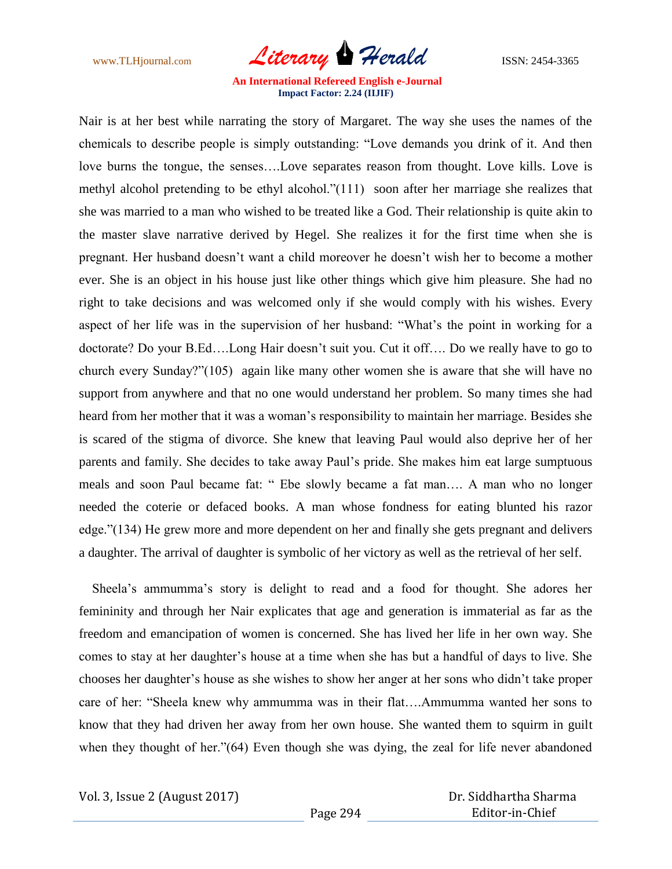

Nair is at her best while narrating the story of Margaret. The way she uses the names of the chemicals to describe people is simply outstanding: "Love demands you drink of it. And then love burns the tongue, the senses….Love separates reason from thought. Love kills. Love is methyl alcohol pretending to be ethyl alcohol."(111) soon after her marriage she realizes that she was married to a man who wished to be treated like a God. Their relationship is quite akin to the master slave narrative derived by Hegel. She realizes it for the first time when she is pregnant. Her husband doesn"t want a child moreover he doesn"t wish her to become a mother ever. She is an object in his house just like other things which give him pleasure. She had no right to take decisions and was welcomed only if she would comply with his wishes. Every aspect of her life was in the supervision of her husband: "What"s the point in working for a doctorate? Do your B.Ed….Long Hair doesn"t suit you. Cut it off…. Do we really have to go to church every Sunday?"(105) again like many other women she is aware that she will have no support from anywhere and that no one would understand her problem. So many times she had heard from her mother that it was a woman"s responsibility to maintain her marriage. Besides she is scared of the stigma of divorce. She knew that leaving Paul would also deprive her of her parents and family. She decides to take away Paul"s pride. She makes him eat large sumptuous meals and soon Paul became fat: " Ebe slowly became a fat man…. A man who no longer needed the coterie or defaced books. A man whose fondness for eating blunted his razor edge."(134) He grew more and more dependent on her and finally she gets pregnant and delivers a daughter. The arrival of daughter is symbolic of her victory as well as the retrieval of her self.

 Sheela"s ammumma"s story is delight to read and a food for thought. She adores her femininity and through her Nair explicates that age and generation is immaterial as far as the freedom and emancipation of women is concerned. She has lived her life in her own way. She comes to stay at her daughter"s house at a time when she has but a handful of days to live. She chooses her daughter"s house as she wishes to show her anger at her sons who didn"t take proper care of her: "Sheela knew why ammumma was in their flat….Ammumma wanted her sons to know that they had driven her away from her own house. She wanted them to squirm in guilt when they thought of her."(64) Even though she was dying, the zeal for life never abandoned